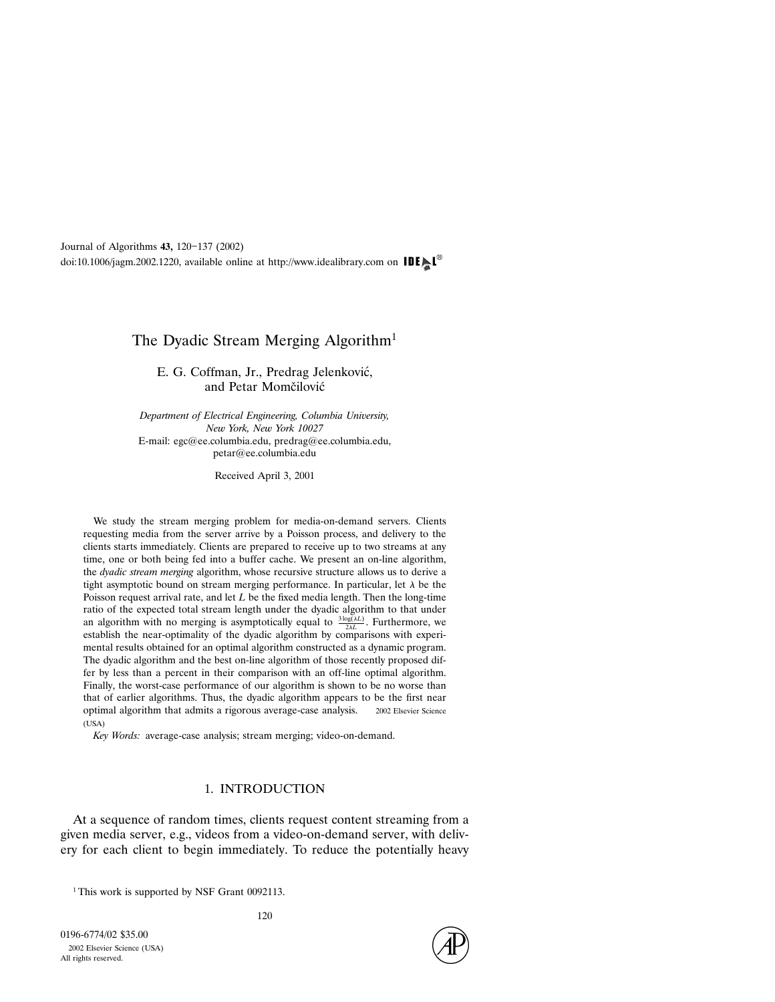# The Dyadic Stream Merging Algorithm<sup>1</sup>

E. G. Coffman, Jr., Predrag Jelenković, and Petar Momčilović

Department of Electrical Engineering, Columbia University, New York, New York 10027 E-mail: egc@ee.columbia.edu, predrag@ee.columbia.edu, petar@ee.columbia.edu

Received April 3, 2001

We study the stream merging problem for media-on-demand servers. Clients requesting media from the server arrive by a Poisson process, and delivery to the clients starts immediately. Clients are prepared to receive up to two streams at any time, one or both being fed into a buffer cache. We present an on-line algorithm, the dyadic stream merging algorithm, whose recursive structure allows us to derive a tight asymptotic bound on stream merging performance. In particular, let  $\lambda$  be the Poisson request arrival rate, and let L be the fixed media length. Then the long-time ratio of the expected total stream length under the dyadic algorithm to that under an algorithm with no merging is asymptotically equal to  $\frac{3 \log(\lambda L)}{2 \lambda L}$ . Furthermore, we establish the near-optimality of the dyadic algorithm by comparisons with experimental results obtained for an optimal algorithm constructed as a dynamic program. The dyadic algorithm and the best on-line algorithm of those recently proposed differ by less than a percent in their comparison with an off-line optimal algorithm. Finally, the worst-case performance of our algorithm is shown to be no worse than that of earlier algorithms. Thus, the dyadic algorithm appears to be the first near optimal algorithm that admits a rigorous average-case analysis.  $\circ$  2002 Elsevier Science (USA)

Key Words: average-case analysis; stream merging; video-on-demand.

#### 1. INTRODUCTION

At a sequence of random times, clients request content streaming from a given media server, e.g., videos from a video-on-demand server, with delivery for each client to begin immediately. To reduce the potentially heavy

<sup>1</sup> This work is supported by NSF Grant 0092113.

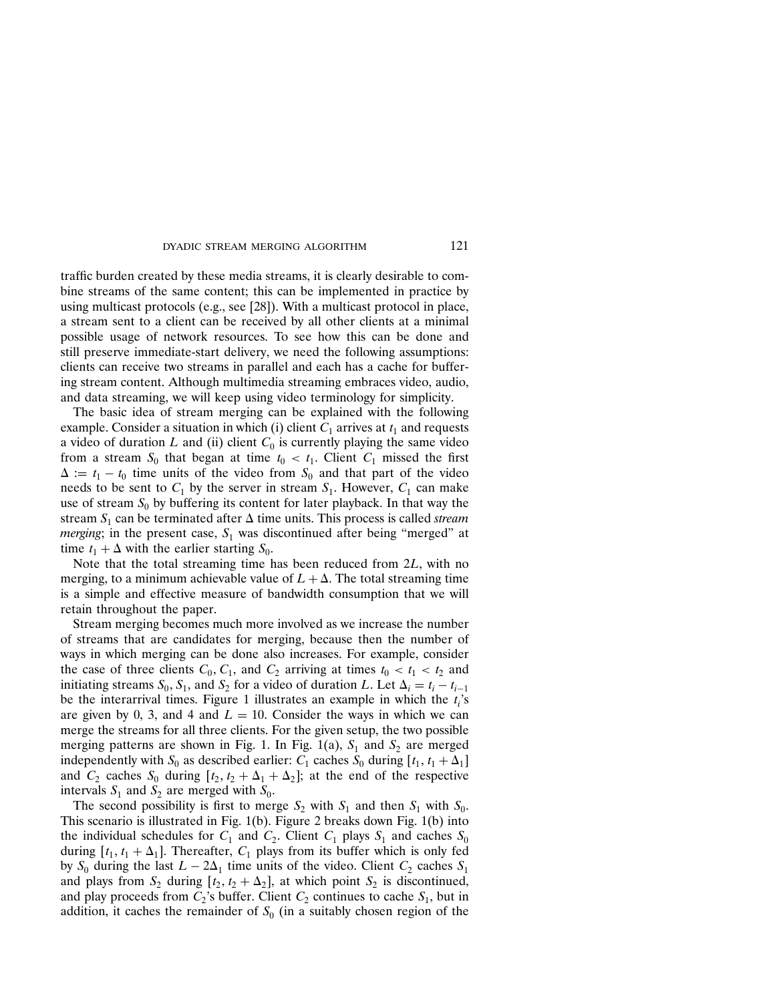traffic burden created by these media streams, it is clearly desirable to combine streams of the same content; this can be implemented in practice by using multicast protocols (e.g., see [28]). With a multicast protocol in place, a stream sent to a client can be received by all other clients at a minimal possible usage of network resources. To see how this can be done and still preserve immediate-start delivery, we need the following assumptions: clients can receive two streams in parallel and each has a cache for buffering stream content. Although multimedia streaming embraces video, audio, and data streaming, we will keep using video terminology for simplicity.

The basic idea of stream merging can be explained with the following example. Consider a situation in which (i) client  $C_1$  arrives at  $t_1$  and requests a video of duration L and (ii) client  $C_0$  is currently playing the same video from a stream  $S_0$  that began at time  $t_0 < t_1$ . Client  $C_1$  missed the first  $\Delta := t_1 - t_0$  time units of the video from  $S_0$  and that part of the video needs to be sent to  $C_1$  by the server in stream  $S_1$ . However,  $C_1$  can make use of stream  $S_0$  by buffering its content for later playback. In that way the stream  $S_1$  can be terminated after  $\Delta$  time units. This process is called stream *merging*; in the present case,  $S_1$  was discontinued after being "merged" at time  $t_1 + \Delta$  with the earlier starting  $S_0$ .

Note that the total streaming time has been reduced from 2L, with no merging, to a minimum achievable value of  $L + \Delta$ . The total streaming time is a simple and effective measure of bandwidth consumption that we will retain throughout the paper.

Stream merging becomes much more involved as we increase the number of streams that are candidates for merging, because then the number of ways in which merging can be done also increases. For example, consider the case of three clients  $C_0$ ,  $C_1$ , and  $C_2$  arriving at times  $t_0 < t_1 < t_2$  and initiating streams  $S_0$ ,  $S_1$ , and  $S_2$  for a video of duration L. Let  $\Delta_i = t_i - t_{i-1}$ be the interarrival times. Figure 1 illustrates an example in which the  $t_i$ 's are given by 0, 3, and 4 and  $L = 10$ . Consider the ways in which we can merge the streams for all three clients. For the given setup, the two possible merging patterns are shown in Fig. 1. In Fig. 1(a),  $S_1$  and  $S_2$  are merged independently with  $S_0$  as described earlier:  $C_1$  caches  $S_0$  during  $[t_1, t_1 + \Delta_1]$ and  $C_2$  caches  $S_0$  during  $[t_2, t_2 + \Delta_1 + \Delta_2]$ ; at the end of the respective intervals  $S_1$  and  $S_2$  are merged with  $S_0$ .

The second possibility is first to merge  $S_2$  with  $S_1$  and then  $S_1$  with  $S_0$ . This scenario is illustrated in Fig. 1(b). Figure 2 breaks down Fig. 1(b) into the individual schedules for  $C_1$  and  $C_2$ . Client  $C_1$  plays  $S_1$  and caches  $S_0$ during  $[t_1, t_1 + \Delta_1]$ . Thereafter,  $C_1$  plays from its buffer which is only fed by  $S_0$  during the last  $L - 2\Delta_1$  time units of the video. Client  $C_2$  caches  $S_1$ and plays from  $S_2$  during  $[t_2, t_2 + \Delta_2]$ , at which point  $S_2$  is discontinued, and play proceeds from  $C_2$ 's buffer. Client  $C_2$  continues to cache  $S_1$ , but in addition, it caches the remainder of  $S_0$  (in a suitably chosen region of the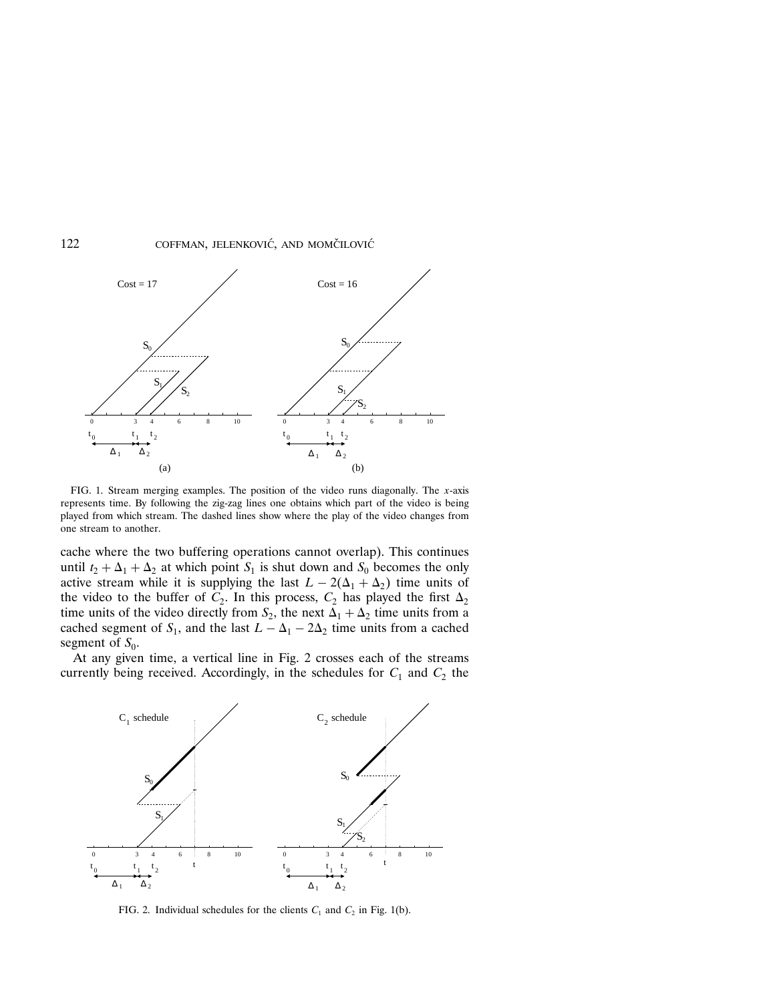

FIG. 1. Stream merging examples. The position of the video runs diagonally. The  $x$ -axis represents time. By following the zig-zag lines one obtains which part of the video is being played from which stream. The dashed lines show where the play of the video changes from one stream to another.

cache where the two buffering operations cannot overlap). This continues until  $t_2 + \Delta_1 + \Delta_2$  at which point  $S_1$  is shut down and  $S_0$  becomes the only active stream while it is supplying the last  $L - 2(\Delta_1 + \Delta_2)$  time units of the video to the buffer of  $C_2$ . In this process,  $C_2$  has played the first  $\Delta_2$ time units of the video directly from  $S_2$ , the next  $\Delta_1 + \Delta_2$  time units from a cached segment of  $S_1$ , and the last  $L - \Delta_1 - 2\Delta_2$  time units from a cached segment of  $S_0$ .

At any given time, a vertical line in Fig. 2 crosses each of the streams currently being received. Accordingly, in the schedules for  $C_1$  and  $C_2$  the



FIG. 2. Individual schedules for the clients  $C_1$  and  $C_2$  in Fig. 1(b).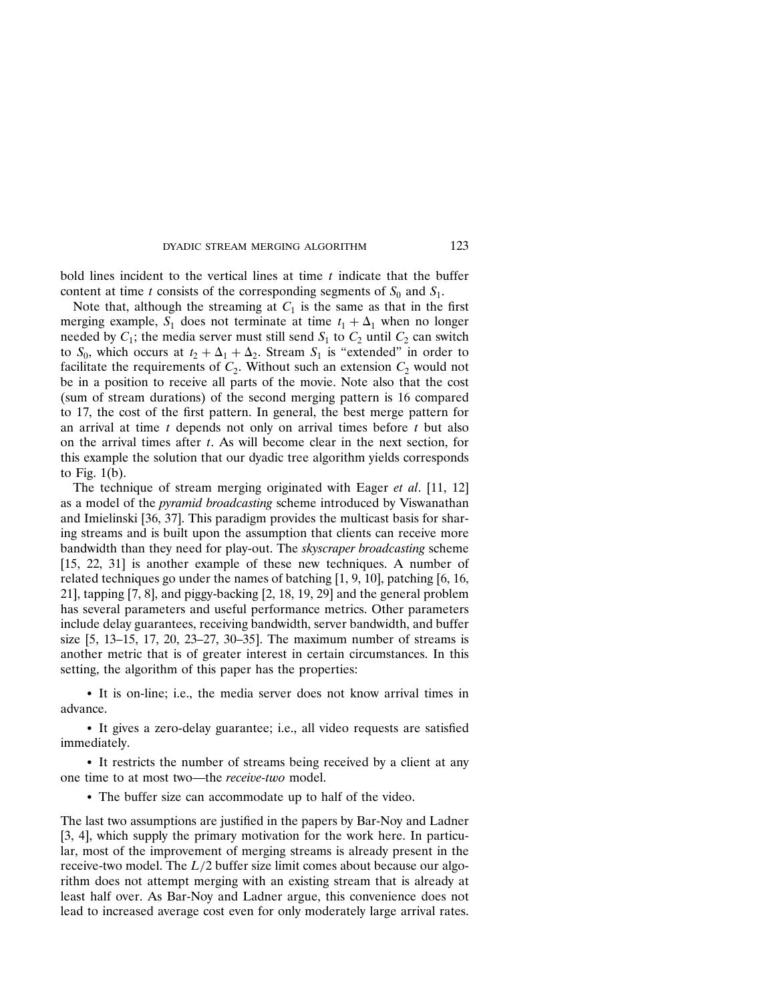bold lines incident to the vertical lines at time  $t$  indicate that the buffer content at time t consists of the corresponding segments of  $S_0$  and  $S_1$ .

Note that, although the streaming at  $C_1$  is the same as that in the first merging example,  $S_1$  does not terminate at time  $t_1 + \Delta_1$  when no longer needed by  $C_1$ ; the media server must still send  $S_1$  to  $C_2$  until  $C_2$  can switch to  $S_0$ , which occurs at  $t_2 + \Delta_1 + \Delta_2$ . Stream  $S_1$  is "extended" in order to facilitate the requirements of  $C_2$ . Without such an extension  $C_2$  would not be in a position to receive all parts of the movie. Note also that the cost (sum of stream durations) of the second merging pattern is 16 compared to 17, the cost of the first pattern. In general, the best merge pattern for an arrival at time  $t$  depends not only on arrival times before  $t$  but also on the arrival times after t. As will become clear in the next section, for this example the solution that our dyadic tree algorithm yields corresponds to Fig. 1(b).

The technique of stream merging originated with Eager et al. [11, 12] as a model of the *pyramid broadcasting* scheme introduced by Viswanathan and Imielinski [36, 37]. This paradigm provides the multicast basis for sharing streams and is built upon the assumption that clients can receive more bandwidth than they need for play-out. The skyscraper broadcasting scheme [15, 22, 31] is another example of these new techniques. A number of related techniques go under the names of batching [1, 9, 10], patching [6, 16, 21], tapping  $[7, 8]$ , and piggy-backing  $[2, 18, 19, 29]$  and the general problem has several parameters and useful performance metrics. Other parameters include delay guarantees, receiving bandwidth, server bandwidth, and buffer size [5, 13–15, 17, 20, 23–27, 30–35]. The maximum number of streams is another metric that is of greater interest in certain circumstances. In this setting, the algorithm of this paper has the properties:

• It is on-line; i.e., the media server does not know arrival times in advance.

• It gives a zero-delay guarantee; i.e., all video requests are satisfied immediately.

• It restricts the number of streams being received by a client at any one time to at most two—the receive-two model.

• The buffer size can accommodate up to half of the video.

The last two assumptions are justified in the papers by Bar-Noy and Ladner [3, 4], which supply the primary motivation for the work here. In particular, most of the improvement of merging streams is already present in the receive-two model. The  $L/2$  buffer size limit comes about because our algorithm does not attempt merging with an existing stream that is already at least half over. As Bar-Noy and Ladner argue, this convenience does not lead to increased average cost even for only moderately large arrival rates.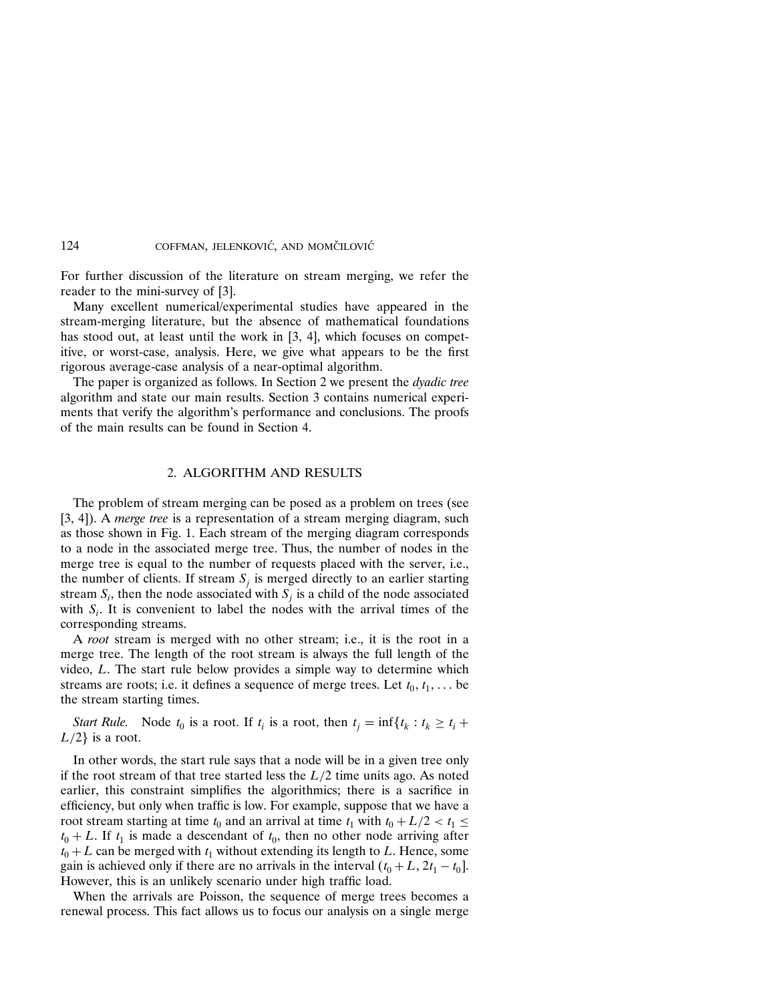For further discussion of the literature on stream merging, we refer the reader to the mini-survey of [3].

Many excellent numerical/experimental studies have appeared in the stream-merging literature, but the absence of mathematical foundations has stood out, at least until the work in [3, 4], which focuses on competitive, or worst-case, analysis. Here, we give what appears to be the first rigorous average-case analysis of a near-optimal algorithm.

The paper is organized as follows. In Section 2 we present the *dyadic tree* algorithm and state our main results. Section 3 contains numerical experiments that verify the algorithm's performance and conclusions. The proofs of the main results can be found in Section 4.

## 2. ALGORITHM AND RESULTS

The problem of stream merging can be posed as a problem on trees (see [3, 4]). A *merge tree* is a representation of a stream merging diagram, such as those shown in Fig. 1. Each stream of the merging diagram corresponds to a node in the associated merge tree. Thus, the number of nodes in the merge tree is equal to the number of requests placed with the server, i.e., the number of clients. If stream  $S_i$  is merged directly to an earlier starting stream  $S_i$ , then the node associated with  $S_i$  is a child of the node associated with  $S_i$ . It is convenient to label the nodes with the arrival times of the corresponding streams.

A root stream is merged with no other stream; i.e., it is the root in a merge tree. The length of the root stream is always the full length of the video, L. The start rule below provides a simple way to determine which streams are roots; i.e. it defines a sequence of merge trees. Let  $t_0, t_1, \ldots$  be the stream starting times.

Start Rule. Node  $t_0$  is a root. If  $t_i$  is a root, then  $t_j = \inf\{t_k : t_k \ge t_i +$  $L/2$  is a root.

In other words, the start rule says that a node will be in a given tree only if the root stream of that tree started less the  $L/2$  time units ago. As noted earlier, this constraint simplifies the algorithmics; there is a sacrifice in efficiency, but only when traffic is low. For example, suppose that we have a root stream starting at time  $t_0$  and an arrival at time  $t_1$  with  $t_0 + L/2 < t_1 \leq$  $t_0 + L$ . If  $t_1$  is made a descendant of  $t_0$ , then no other node arriving after  $t_0 + L$  can be merged with  $t_1$  without extending its length to L. Hence, some gain is achieved only if there are no arrivals in the interval  $(t_0 + L, 2t_1 - t_0)$ . However, this is an unlikely scenario under high traffic load.

When the arrivals are Poisson, the sequence of merge trees becomes a renewal process. This fact allows us to focus our analysis on a single merge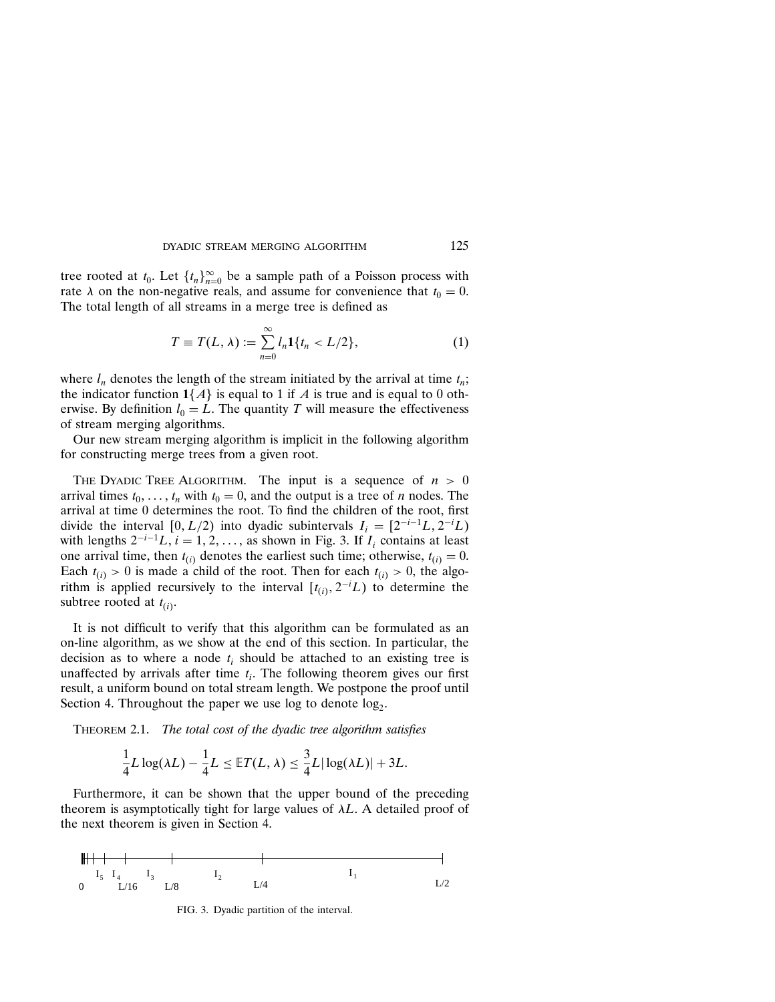tree rooted at  $t_0$ . Let  $\{t_n\}_{n=0}^{\infty}$  be a sample path of a Poisson process with rate  $\lambda$  on the non-negative reals, and assume for convenience that  $t_0 = 0$ . The total length of all streams in a merge tree is defined as

$$
T \equiv T(L, \lambda) := \sum_{n=0}^{\infty} l_n \mathbf{1} \{ t_n < L/2 \},\tag{1}
$$

where  $l_n$  denotes the length of the stream initiated by the arrival at time  $t_n$ ; the indicator function  $1\{A\}$  is equal to 1 if A is true and is equal to 0 otherwise. By definition  $l_0 = L$ . The quantity T will measure the effectiveness of stream merging algorithms.

Our new stream merging algorithm is implicit in the following algorithm for constructing merge trees from a given root.

THE DYADIC TREE ALGORITHM. The input is a sequence of  $n > 0$ arrival times  $t_0, \ldots, t_n$  with  $t_0 = 0$ , and the output is a tree of *n* nodes. The arrival at time 0 determines the root. To find the children of the root, first divide the interval  $[0, L/2)$  into dyadic subintervals  $I_i = [2^{-i-1}L, 2^{-i}L)$ with lengths  $2^{-i-1}L$ ,  $i = 1, 2, \ldots$ , as shown in Fig. 3. If  $I_i$  contains at least one arrival time, then  $t_{(i)}$  denotes the earliest such time; otherwise,  $t_{(i)} = 0$ . Each  $t_{(i)} > 0$  is made a child of the root. Then for each  $t_{(i)} > 0$ , the algorithm is applied recursively to the interval  $[t_{(i)}, 2^{-i}L)$  to determine the subtree rooted at  $t_{(i)}$ .

It is not difficult to verify that this algorithm can be formulated as an on-line algorithm, as we show at the end of this section. In particular, the decision as to where a node  $t_i$  should be attached to an existing tree is unaffected by arrivals after time  $t_i$ . The following theorem gives our first result, a uniform bound on total stream length. We postpone the proof until Section 4. Throughout the paper we use log to denote  $log<sub>2</sub>$ .

THEOREM 2.1. The total cost of the dyadic tree algorithm satisfies

$$
\frac{1}{4}L\log(\lambda L) - \frac{1}{4}L \leq \mathbb{E}T(L,\lambda) \leq \frac{3}{4}L|\log(\lambda L)| + 3L.
$$

Furthermore, it can be shown that the upper bound of the preceding theorem is asymptotically tight for large values of  $\lambda L$ . A detailed proof of the next theorem is given in Section 4.



FIG. 3. Dyadic partition of the interval.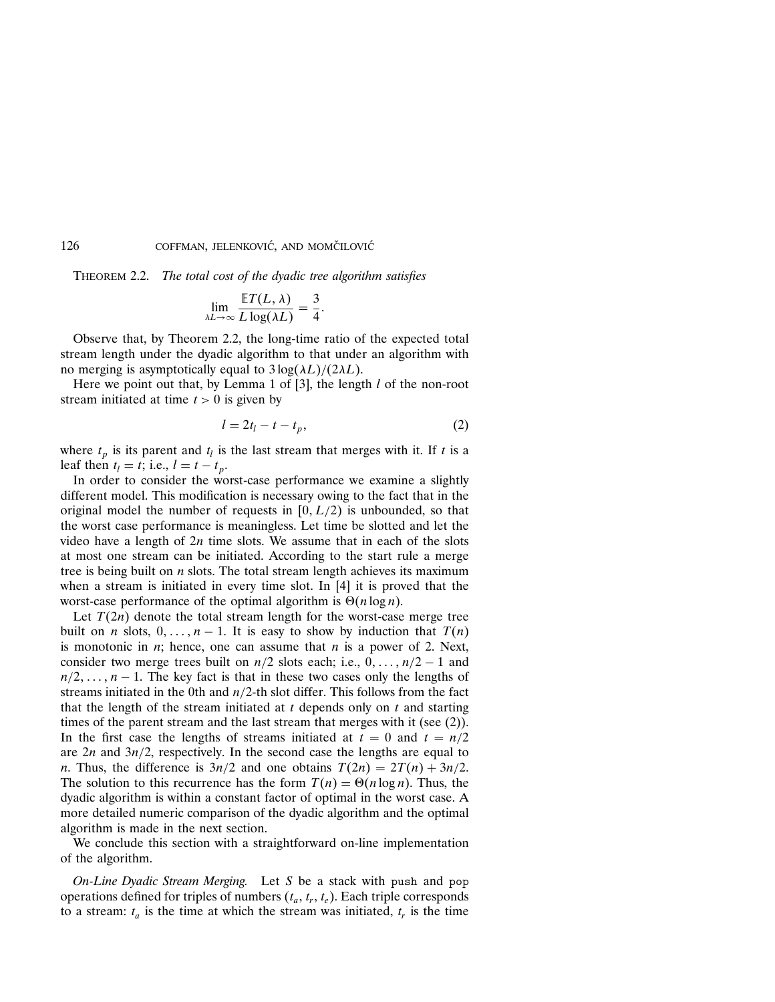Theorem 2.2. The total cost of the dyadic tree algorithm satisfies

$$
\lim_{\lambda L \to \infty} \frac{\mathbb{E} T(L, \lambda)}{L \log(\lambda L)} = \frac{3}{4}.
$$

Observe that, by Theorem 2.2, the long-time ratio of the expected total stream length under the dyadic algorithm to that under an algorithm with no merging is asymptotically equal to  $3 \log(\lambda L)/(2\lambda L)$ .

Here we point out that, by Lemma 1 of [3], the length  $l$  of the non-root stream initiated at time  $t > 0$  is given by

$$
l = 2t_l - t - t_p,\tag{2}
$$

where  $t_p$  is its parent and  $t_l$  is the last stream that merges with it. If t is a leaf then  $t_l = t$ ; i.e.,  $l = t - t_p$ .

In order to consider the worst-case performance we examine a slightly different model. This modification is necessary owing to the fact that in the original model the number of requests in  $[0, L/2)$  is unbounded, so that the worst case performance is meaningless. Let time be slotted and let the video have a length of  $2n$  time slots. We assume that in each of the slots at most one stream can be initiated. According to the start rule a merge tree is being built on  $n$  slots. The total stream length achieves its maximum when a stream is initiated in every time slot. In [4] it is proved that the worst-case performance of the optimal algorithm is  $\Theta(n \log n)$ .

Let  $T(2n)$  denote the total stream length for the worst-case merge tree built on *n* slots,  $0, \ldots, n-1$ . It is easy to show by induction that  $T(n)$ is monotonic in  $n$ ; hence, one can assume that  $n$  is a power of 2. Next, consider two merge trees built on  $n/2$  slots each; i.e.,  $0, \ldots, n/2 - 1$  and  $n/2, \ldots, n-1$ . The key fact is that in these two cases only the lengths of streams initiated in the 0th and  $n/2$ -th slot differ. This follows from the fact that the length of the stream initiated at  $t$  depends only on  $t$  and starting times of the parent stream and the last stream that merges with it (see (2)). In the first case the lengths of streams initiated at  $t = 0$  and  $t = n/2$ are  $2n$  and  $3n/2$ , respectively. In the second case the lengths are equal to *n*. Thus, the difference is  $3n/2$  and one obtains  $T(2n) = 2T(n) + 3n/2$ . The solution to this recurrence has the form  $T(n) = \Theta(n \log n)$ . Thus, the dyadic algorithm is within a constant factor of optimal in the worst case. A more detailed numeric comparison of the dyadic algorithm and the optimal algorithm is made in the next section.

We conclude this section with a straightforward on-line implementation of the algorithm.

On-Line Dyadic Stream Merging. Let S be a stack with push and pop operations defined for triples of numbers  $(t_a, t_r, t_e)$ . Each triple corresponds to a stream:  $t_a$  is the time at which the stream was initiated,  $t_r$  is the time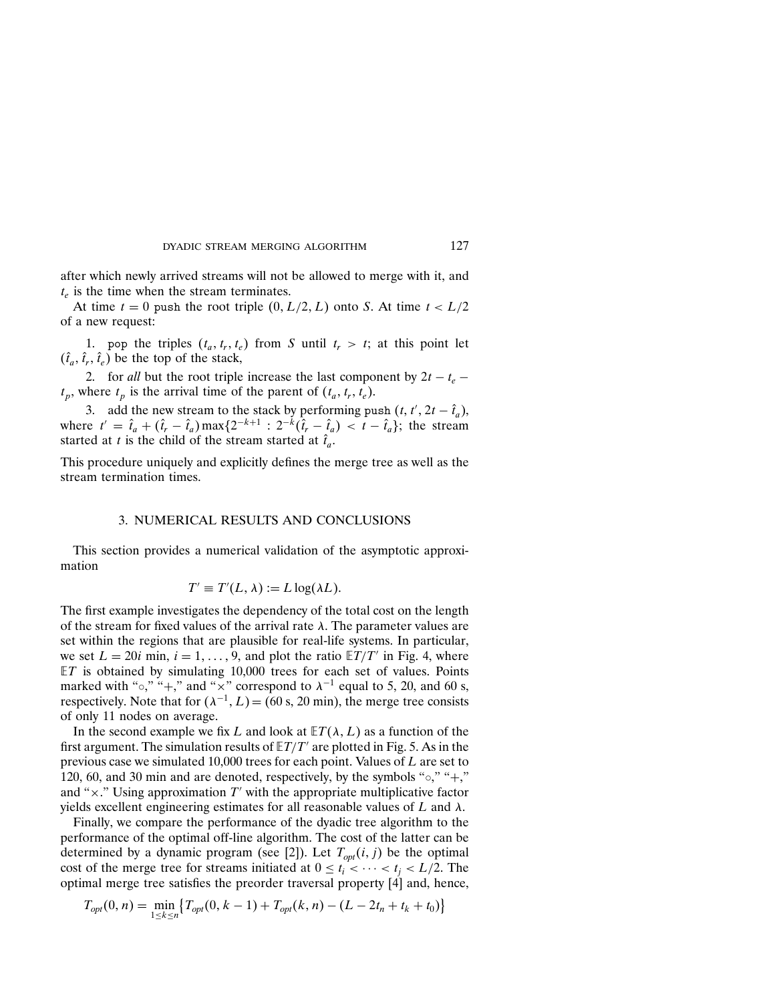after which newly arrived streams will not be allowed to merge with it, and  $t_e$  is the time when the stream terminates.

At time  $t = 0$  push the root triple  $(0, L/2, L)$  onto S. At time  $t < L/2$ of a new request:

1. pop the triples  $(t_a, t_r, t_e)$  from S until  $t_r > t$ ; at this point let  $(\hat{t}_a, \hat{t}_r, \hat{t}_e)$  be the top of the stack,

2. for all but the root triple increase the last component by  $2t - t_e$  –  $t_p$ , where  $t_p$  is the arrival time of the parent of  $(t_a, t_r, t_e)$ .

3. add the new stream to the stack by performing push  $(t, t', 2t - \hat{t}_a)$ , where  $t' = \hat{t}_a + (\hat{t}_r - \hat{t}_a) \max\{2^{-k+1} : 2^{-k}(\hat{t}_r - \hat{t}_a) < t - \hat{t}_a\}$ ; the stream started at t is the child of the stream started at  $\hat{t}_a$ .

This procedure uniquely and explicitly defines the merge tree as well as the stream termination times.

## 3. NUMERICAL RESULTS AND CONCLUSIONS

This section provides a numerical validation of the asymptotic approximation

$$
T' \equiv T'(L, \lambda) := L \log(\lambda L).
$$

The first example investigates the dependency of the total cost on the length of the stream for fixed values of the arrival rate λ. The parameter values are set within the regions that are plausible for real-life systems. In particular, we set  $L = 20i$  min,  $i = 1, ..., 9$ , and plot the ratio  $E/T'$  in Fig. 4, where  $ET$  is obtained by simulating 10,000 trees for each set of values. Points marked with "∘," "+," and "×" correspond to  $\lambda^{-1}$  equal to 5, 20, and 60 s, respectively. Note that for  $(\lambda^{-1}, L) = (60 \text{ s}, 20 \text{ min})$ , the merge tree consists of only 11 nodes on average.

In the second example we fix L and look at  $ET(\lambda, L)$  as a function of the first argument. The simulation results of  $E T/T'$  are plotted in Fig. 5. As in the previous case we simulated 10,000 trees for each point. Values of L are set to 120, 60, and 30 min and are denoted, respectively, by the symbols " $\circ$ ," "+," and " $\times$ ." Using approximation T' with the appropriate multiplicative factor yields excellent engineering estimates for all reasonable values of  $L$  and  $\lambda$ .

Finally, we compare the performance of the dyadic tree algorithm to the performance of the optimal off-line algorithm. The cost of the latter can be determined by a dynamic program (see [2]). Let  $T_{opt}(i, j)$  be the optimal cost of the merge tree for streams initiated at  $0 \le t_i < \cdots < t_j < L/2$ . The optimal merge tree satisfies the preorder traversal property  $[4]$  and, hence,

$$
T_{opt}(0, n) = \min_{1 \le k \le n} \{ T_{opt}(0, k - 1) + T_{opt}(k, n) - (L - 2t_n + t_k + t_0) \}
$$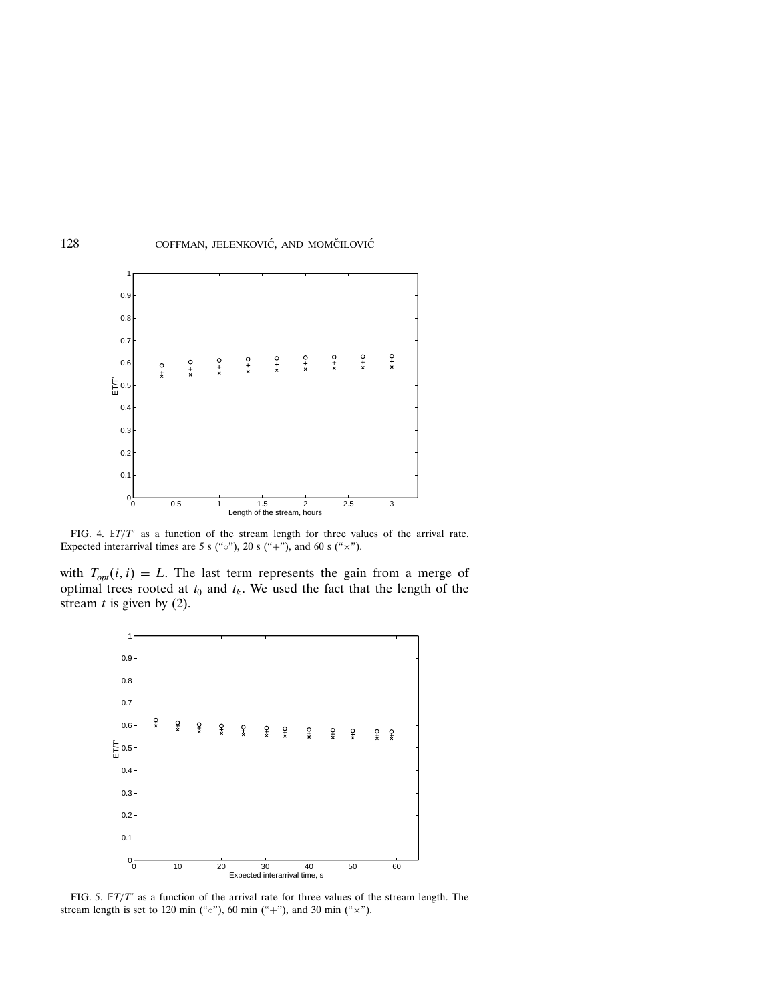

FIG. 4.  $E/T'$  as a function of the stream length for three values of the arrival rate. Expected interarrival times are 5 s ("o"), 20 s ("+"), and 60 s (" $\times$ ").

with  $T_{opt}(i, i) = L$ . The last term represents the gain from a merge of optimal trees rooted at  $t_0$  and  $t_k$ . We used the fact that the length of the stream  $t$  is given by (2).



FIG. 5.  $E T/T'$  as a function of the arrival rate for three values of the stream length. The stream length is set to 120 min ("o"), 60 min ("+"), and 30 min (" $\times$ ").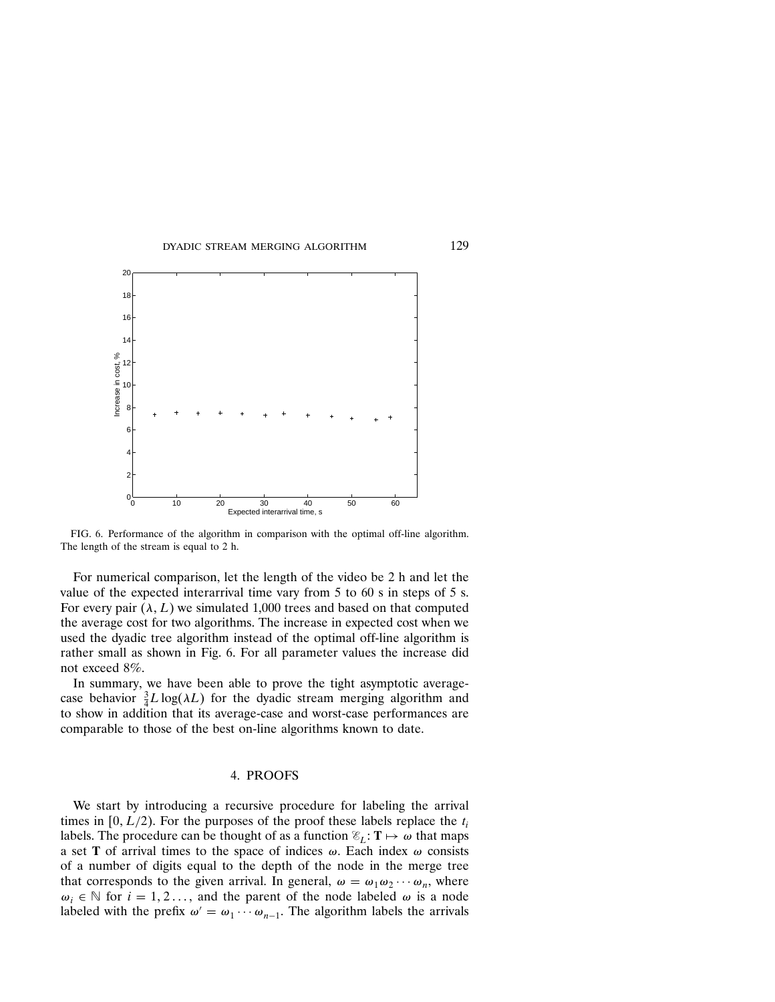

FIG. 6. Performance of the algorithm in comparison with the optimal off-line algorithm. The length of the stream is equal to 2 h.

For numerical comparison, let the length of the video be 2 h and let the value of the expected interarrival time vary from 5 to 60 s in steps of 5 s. For every pair  $(\lambda, L)$  we simulated 1,000 trees and based on that computed the average cost for two algorithms. The increase in expected cost when we used the dyadic tree algorithm instead of the optimal off-line algorithm is rather small as shown in Fig. 6. For all parameter values the increase did not exceed 8%.

In summary, we have been able to prove the tight asymptotic averagecase behavior  $\frac{3}{4}L \log(\lambda L)$  for the dyadic stream merging algorithm and to show in addition that its average-case and worst-case performances are comparable to those of the best on-line algorithms known to date.

### 4. PROOFS

We start by introducing a recursive procedure for labeling the arrival times in [0,  $L/2$ ). For the purposes of the proof these labels replace the  $t_i$ labels. The procedure can be thought of as a function  $\mathscr{E}_L: \mathbf{T} \mapsto \omega$  that maps a set T of arrival times to the space of indices  $\omega$ . Each index  $\omega$  consists of a number of digits equal to the depth of the node in the merge tree that corresponds to the given arrival. In general,  $\omega = \omega_1 \omega_2 \cdots \omega_n$ , where  $\omega_i \in \mathbb{N}$  for  $i = 1, 2, \ldots$ , and the parent of the node labeled  $\omega$  is a node labeled with the prefix  $\omega' = \omega_1 \cdots \omega_{n-1}$ . The algorithm labels the arrivals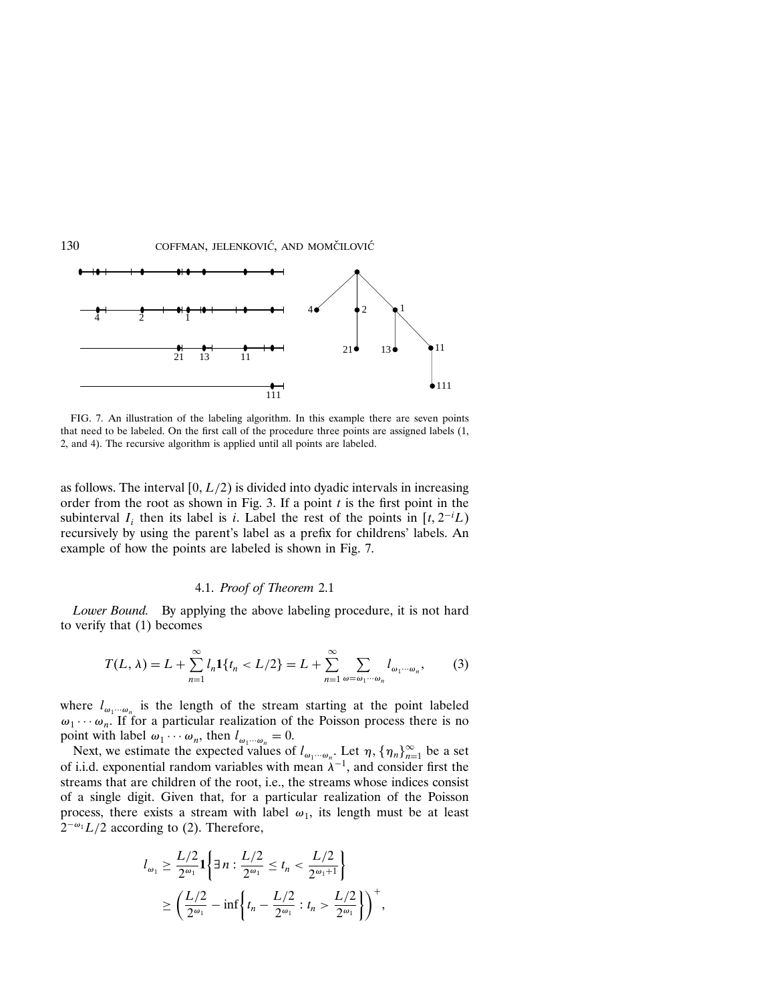

FIG. 7. An illustration of the labeling algorithm. In this example there are seven points that need to be labeled. On the first call of the procedure three points are assigned labels (1, 2, and 4). The recursive algorithm is applied until all points are labeled.

as follows. The interval  $[0, L/2)$  is divided into dyadic intervals in increasing order from the root as shown in Fig. 3. If a point  $t$  is the first point in the subinterval  $I_i$  then its label is i. Label the rest of the points in  $[t, 2^{-i}L)$ recursively by using the parent's label as a prefix for childrens' labels. An example of how the points are labeled is shown in Fig. 7.

## 4.1. Proof of Theorem 2.1

Lower Bound. By applying the above labeling procedure, it is not hard to verify that (1) becomes

$$
T(L,\lambda) = L + \sum_{n=1}^{\infty} l_n \mathbf{1}\{t_n < L/2\} = L + \sum_{n=1}^{\infty} \sum_{\omega = \omega_1 \cdots \omega_n} l_{\omega_1 \cdots \omega_n},\tag{3}
$$

where  $l_{\omega_1\cdots\omega_n}$  is the length of the stream starting at the point labeled  $\omega_1 \cdots \omega_n$ . If for a particular realization of the Poisson process there is no point with label  $\omega_1 \cdots \omega_n$ , then  $l_{\omega_1 \cdots \omega_n} = 0$ .

Next, we estimate the expected values of  $l_{\omega_1\cdots\omega_n}$ . Let  $\eta$ ,  $\{\eta_n\}_{n=1}^{\infty}$  be a set of i.i.d. exponential random variables with mean  $\lambda^{-1}$ , and consider first the streams that are children of the root, i.e., the streams whose indices consist of a single digit. Given that, for a particular realization of the Poisson process, there exists a stream with label  $\omega_1$ , its length must be at least  $2^{-\omega_1}L/2$  according to (2). Therefore,

$$
l_{\omega_1} \ge \frac{L/2}{2^{\omega_1}} \mathbf{1} \bigg\{ \exists n : \frac{L/2}{2^{\omega_1}} \le t_n < \frac{L/2}{2^{\omega_1+1}} \bigg\}
$$
  
 
$$
\ge \left( \frac{L/2}{2^{\omega_1}} - \inf \left\{ t_n - \frac{L/2}{2^{\omega_1}} : t_n > \frac{L/2}{2^{\omega_1}} \right\} \right)^+,
$$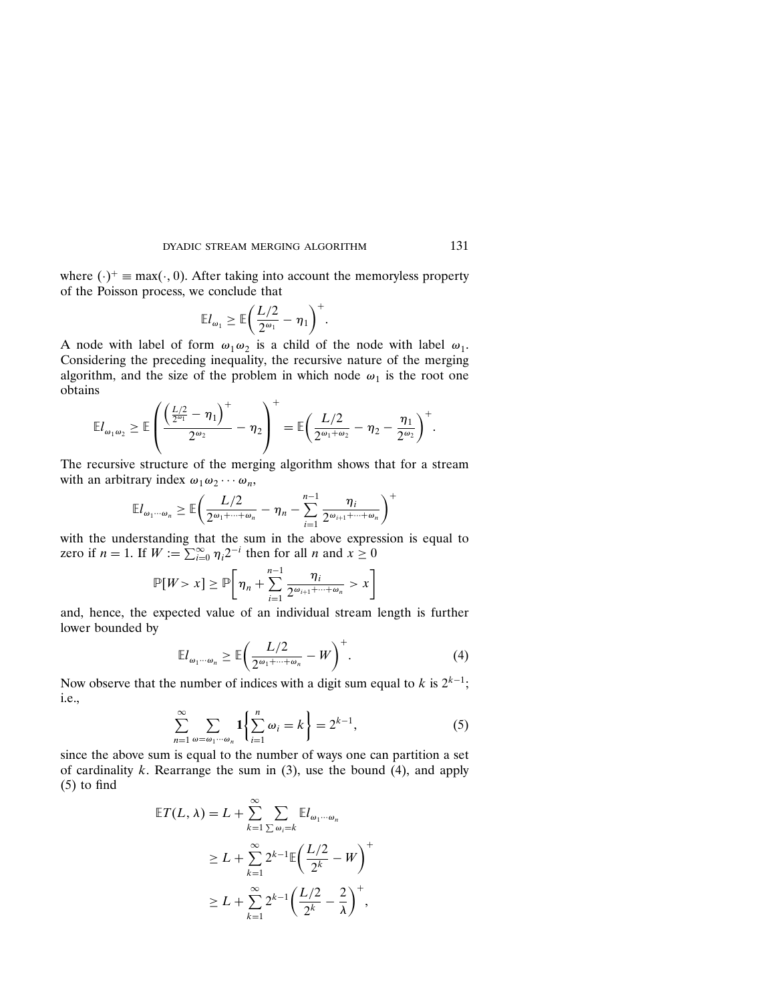where  $(\cdot)^+$  = max $(\cdot, 0)$ . After taking into account the memoryless property of the Poisson process, we conclude that

$$
\mathbb{E} l_{\omega_1} \geq \mathbb{E} \bigg( \frac{L/2}{2^{\omega_1}} - \eta_1 \bigg)^+.
$$

A node with label of form  $\omega_1 \omega_2$  is a child of the node with label  $\omega_1$ . Considering the preceding inequality, the recursive nature of the merging algorithm, and the size of the problem in which node  $\omega_1$  is the root one obtains

$$
\mathbb{E} l_{\omega_1\omega_2} \geq \mathbb{E} \left( \frac{\left( \frac{L/2}{2^{\omega_1}} - \eta_1 \right)^+}{2^{\omega_2}} - \eta_2 \right)^+ = \mathbb{E} \left( \frac{L/2}{2^{\omega_1 + \omega_2}} - \eta_2 - \frac{\eta_1}{2^{\omega_2}} \right)^+.
$$

The recursive structure of the merging algorithm shows that for a stream with an arbitrary index  $\omega_1 \omega_2 \cdots \omega_n$ ,

$$
\mathbb{E}I_{\omega_1\cdots\omega_n}\geq \mathbb{E}\bigg(\frac{L/2}{2^{\omega_1+\cdots+\omega_n}}-\eta_n-\sum_{i=1}^{n-1}\frac{\eta_i}{2^{\omega_{i+1}+\cdots+\omega_n}}\bigg)^+
$$

with the understanding that the sum in the above expression is equal to zero if  $n = 1$ . If  $W := \sum_{i=0}^{\infty} \eta_i 2^{-i}$  then for all n and  $x \ge 0$ 

$$
\mathbb{P}[W>x]\geq \mathbb{P}\bigg[\eta_n+\sum_{i=1}^{n-1}\frac{\eta_i}{2^{\omega_{i+1}+\cdots+\omega_n}}>x\bigg]
$$

and, hence, the expected value of an individual stream length is further lower bounded by

$$
\mathbb{E}I_{\omega_1\cdots\omega_n} \ge \mathbb{E}\bigg(\frac{L/2}{2^{\omega_1+\cdots+\omega_n}}-W\bigg)^+.
$$
 (4)

Now observe that the number of indices with a digit sum equal to k is  $2^{k-1}$ ; i.e.,

$$
\sum_{n=1}^{\infty} \sum_{\omega = \omega_1 \cdots \omega_n} \mathbf{1} \left\{ \sum_{i=1}^{n} \omega_i = k \right\} = 2^{k-1},\tag{5}
$$

since the above sum is equal to the number of ways one can partition a set of cardinality k. Rearrange the sum in  $(3)$ , use the bound  $(4)$ , and apply (5) to find

$$
\mathbb{E}T(L,\lambda) = L + \sum_{k=1}^{\infty} \sum_{\sum \omega_i = k} \mathbb{E}l_{\omega_1 \cdots \omega_n}
$$
  
\n
$$
\geq L + \sum_{k=1}^{\infty} 2^{k-1} \mathbb{E} \left( \frac{L/2}{2^k} - W \right)^{+}
$$
  
\n
$$
\geq L + \sum_{k=1}^{\infty} 2^{k-1} \left( \frac{L/2}{2^k} - \frac{2}{\lambda} \right)^{+},
$$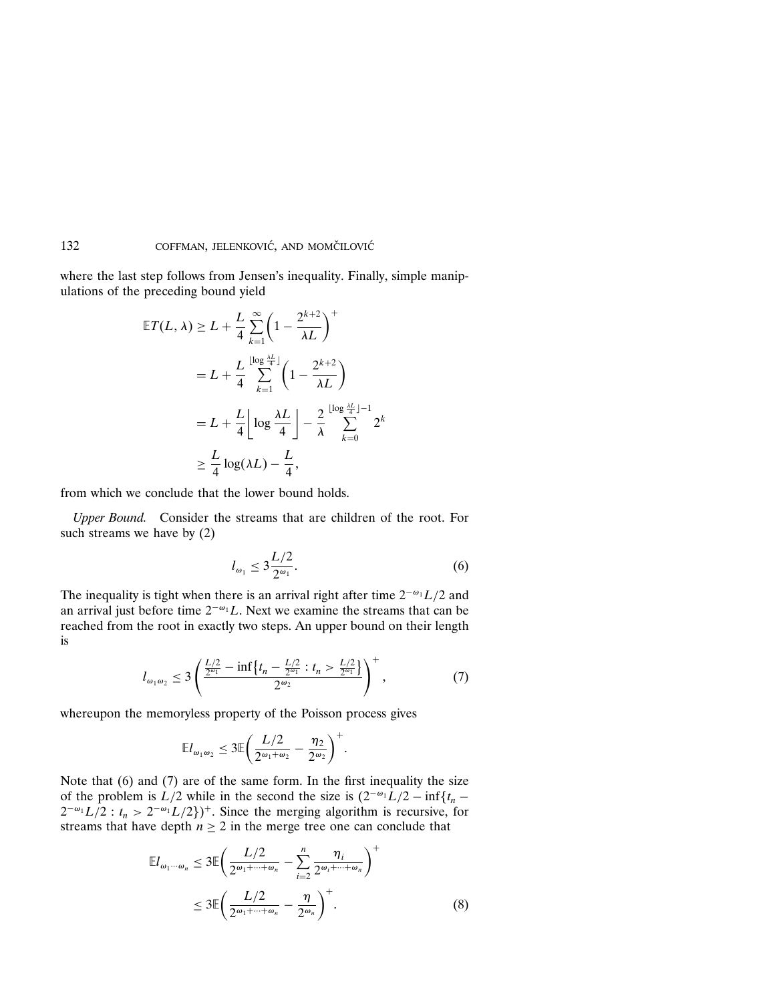where the last step follows from Jensen's inequality. Finally, simple manipulations of the preceding bound yield

$$
\mathbb{E}T(L,\lambda) \ge L + \frac{L}{4} \sum_{k=1}^{\infty} \left(1 - \frac{2^{k+2}}{\lambda L}\right)^{+}
$$
  

$$
= L + \frac{L}{4} \sum_{k=1}^{\lfloor \log \frac{\lambda L}{4} \rfloor} \left(1 - \frac{2^{k+2}}{\lambda L}\right)
$$
  

$$
= L + \frac{L}{4} \left[ \log \frac{\lambda L}{4} \right] - \frac{2}{\lambda} \sum_{k=0}^{\lfloor \log \frac{\lambda L}{4} \rfloor - 1} 2^{k}
$$
  

$$
\ge \frac{L}{4} \log(\lambda L) - \frac{L}{4},
$$

from which we conclude that the lower bound holds.

Upper Bound. Consider the streams that are children of the root. For such streams we have by (2)

$$
l_{\omega_1} \le 3\frac{L/2}{2^{\omega_1}}.\tag{6}
$$

The inequality is tight when there is an arrival right after time  $2^{-\omega_1}L/2$  and an arrival just before time  $2^{-\omega_1}L$ . Next we examine the streams that can be reached from the root in exactly two steps. An upper bound on their length is

$$
l_{\omega_1\omega_2} \le 3\left(\frac{\frac{L/2}{2^{\omega_1}} - \inf\{t_n - \frac{L/2}{2^{\omega_1}} : t_n > \frac{L/2}{2^{\omega_1}}\}}{2^{\omega_2}}\right)^+, \tag{7}
$$

whereupon the memoryless property of the Poisson process gives

$$
\mathbb{E}l_{\omega_1\omega_2}\leq 3\mathbb{E}\bigg(\frac{L/2}{2^{\omega_1+\omega_2}}-\frac{\eta_2}{2^{\omega_2}}\bigg)^+.
$$

Note that (6) and (7) are of the same form. In the first inequality the size of the problem is  $L/2$  while in the second the size is  $(2^{-\omega_1}L/2 - \inf\{t_n 2^{-\omega_1}L/2$ :  $t_n > 2^{-\omega_1}L/2$ }<sup>+</sup>. Since the merging algorithm is recursive, for streams that have depth  $n > 2$  in the merge tree one can conclude that

$$
\mathbb{E}l_{\omega_1\cdots\omega_n} \leq 3\mathbb{E}\left(\frac{L/2}{2^{\omega_1+\cdots+\omega_n}} - \sum_{i=2}^n \frac{\eta_i}{2^{\omega_i+\cdots+\omega_n}}\right)^+
$$
  

$$
\leq 3\mathbb{E}\left(\frac{L/2}{2^{\omega_1+\cdots+\omega_n}} - \frac{\eta}{2^{\omega_n}}\right)^+.
$$
 (8)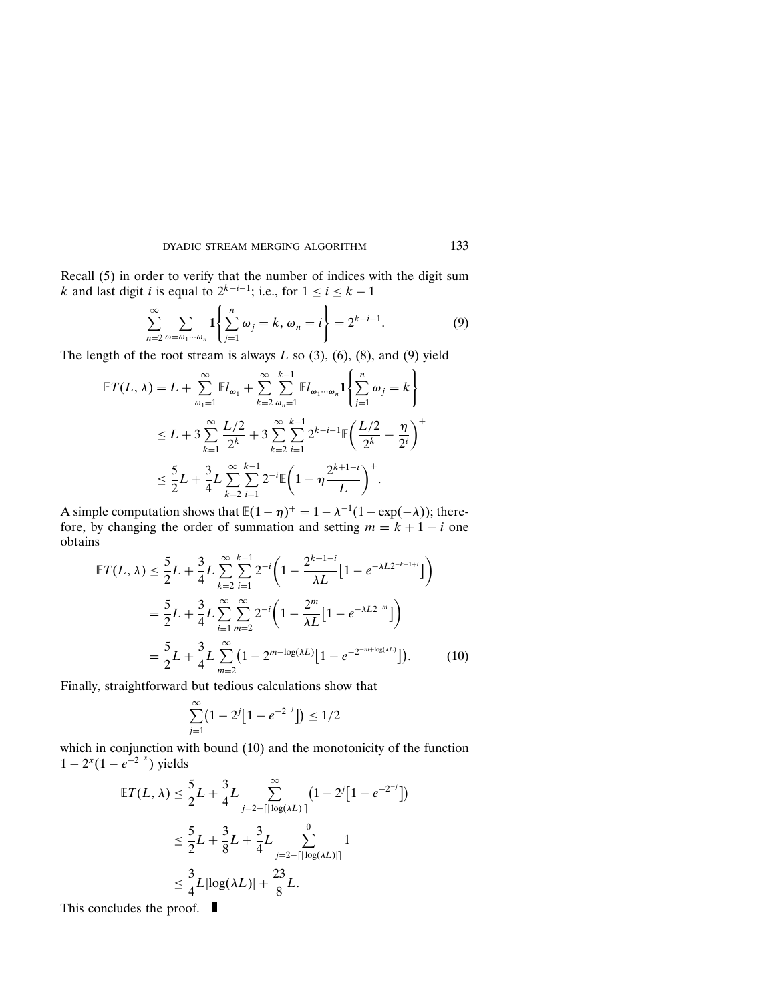Recall (5) in order to verify that the number of indices with the digit sum k and last digit i is equal to  $2^{k-i-1}$ ; i.e., for  $1 \le i \le k-1$ 

$$
\sum_{n=2}^{\infty} \sum_{\omega=\omega_1\cdots\omega_n} \mathbf{1}\left\{\sum_{j=1}^n \omega_j = k, \omega_n = i\right\} = 2^{k-i-1}.\tag{9}
$$

The length of the root stream is always  $L$  so  $(3)$ ,  $(6)$ ,  $(8)$ , and  $(9)$  yield

$$
\mathbb{E}T(L,\lambda) = L + \sum_{\omega_1=1}^{\infty} \mathbb{E}I_{\omega_1} + \sum_{k=2}^{\infty} \sum_{\omega_n=1}^{k-1} \mathbb{E}I_{\omega_1\cdots\omega_n} \mathbf{1} \left\{ \sum_{j=1}^{n} \omega_j = k \right\}
$$
  

$$
\leq L + 3 \sum_{k=1}^{\infty} \frac{L/2}{2^k} + 3 \sum_{k=2}^{\infty} \sum_{i=1}^{k-1} 2^{k-i-1} \mathbb{E} \left( \frac{L/2}{2^k} - \frac{\eta}{2^i} \right)^{+}
$$
  

$$
\leq \frac{5}{2}L + \frac{3}{4}L \sum_{k=2}^{\infty} \sum_{i=1}^{k-1} 2^{-i} \mathbb{E} \left( 1 - \eta \frac{2^{k+1-i}}{L} \right)^{+}.
$$

A simple computation shows that  $\mathbb{E}(1 - \eta)^+ = 1 - \lambda^{-1}(1 - \exp(-\lambda))$ ; therefore, by changing the order of summation and setting  $m = k + 1 - i$  one obtains

$$
\mathbb{E}T(L,\lambda) \leq \frac{5}{2}L + \frac{3}{4}L\sum_{k=2}^{\infty}\sum_{i=1}^{k-1}2^{-i}\left(1 - \frac{2^{k+1-i}}{\lambda L}\left[1 - e^{-\lambda L2^{-k-1+i}}\right]\right)
$$
  

$$
= \frac{5}{2}L + \frac{3}{4}L\sum_{i=1}^{\infty}\sum_{m=2}^{\infty}2^{-i}\left(1 - \frac{2^m}{\lambda L}\left[1 - e^{-\lambda L2^{-m}}\right]\right)
$$
  

$$
= \frac{5}{2}L + \frac{3}{4}L\sum_{m=2}^{\infty}\left(1 - 2^{m-\log(\lambda L)}\left[1 - e^{-2^{-m+\log(\lambda L)}}\right]\right).
$$
 (10)

Finally, straightforward but tedious calculations show that

$$
\sum_{j=1}^{\infty} \left( 1 - 2^{j} \left[ 1 - e^{-2^{-j}} \right] \right) \le 1/2
$$

which in conjunction with bound (10) and the monotonicity of the function  $1 - 2^{x}(1 - e^{-2^{-x}})$  yields

$$
\mathbb{E}T(L,\lambda) \leq \frac{5}{2}L + \frac{3}{4}L \sum_{j=2-\lceil|\log(\lambda L)|\rceil}^{\infty} (1 - 2^{j}[1 - e^{-2^{-j}}])
$$
  

$$
\leq \frac{5}{2}L + \frac{3}{8}L + \frac{3}{4}L \sum_{j=2-\lceil|\log(\lambda L)|\rceil}^{\infty} 1
$$
  

$$
\leq \frac{3}{4}L|\log(\lambda L)| + \frac{23}{8}L.
$$

This concludes the proof.  $\blacksquare$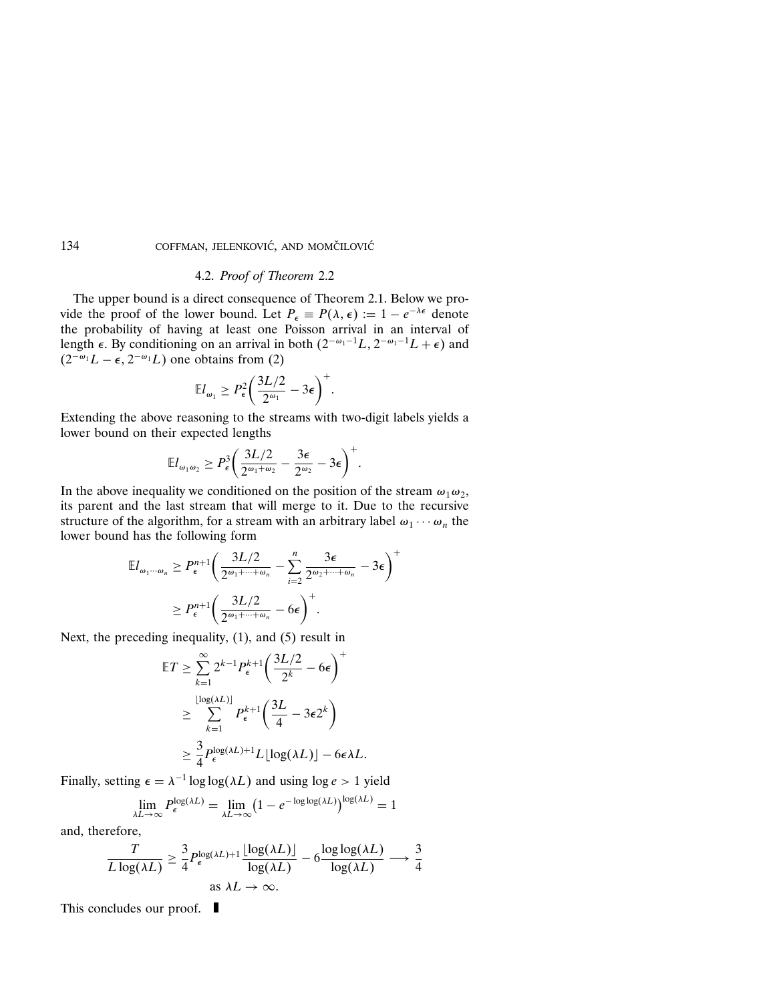## 4.2. Proof of Theorem 2.2

The upper bound is a direct consequence of Theorem 2.1. Below we provide the proof of the lower bound. Let  $P_{\epsilon} \equiv P(\lambda, \epsilon) := 1 - e^{-\lambda \epsilon}$  denote the probability of having at least one Poisson arrival in an interval of length  $\epsilon$ . By conditioning on an arrival in both  $(2^{-\omega_1-1}L, 2^{-\omega_1-1}L + \epsilon)$  and  $(2^{-\omega_1}L - \epsilon, 2^{-\omega_1}L)$  one obtains from (2)

$$
\mathbb{E}l_{\omega_1}\geq P_{\epsilon}^2\bigg(\frac{3L/2}{2^{\omega_1}}-3\epsilon\bigg)^+.
$$

Extending the above reasoning to the streams with two-digit labels yields a lower bound on their expected lengths

$$
\mathbb{E} l_{\omega_1\omega_2} \ge P_\epsilon^3 \bigg( \frac{3L/2}{2^{\omega_1+\omega_2}} - \frac{3\epsilon}{2^{\omega_2}} - 3\epsilon \bigg)^+.
$$

In the above inequality we conditioned on the position of the stream  $\omega_1 \omega_2$ , its parent and the last stream that will merge to it. Due to the recursive structure of the algorithm, for a stream with an arbitrary label  $\omega_1 \cdots \omega_n$  the lower bound has the following form

$$
\mathbb{E}I_{\omega_1\cdots\omega_n} \ge P_{\epsilon}^{n+1} \bigg( \frac{3L/2}{2^{\omega_1+\cdots+\omega_n}} - \sum_{i=2}^n \frac{3\epsilon}{2^{\omega_2+\cdots+\omega_n}} - 3\epsilon \bigg)^+
$$

$$
\ge P_{\epsilon}^{n+1} \bigg( \frac{3L/2}{2^{\omega_1+\cdots+\omega_n}} - 6\epsilon \bigg)^+.
$$

Next, the preceding inequality, (1), and (5) result in

$$
\mathbb{E}T \geq \sum_{k=1}^{\infty} 2^{k-1} P_{\epsilon}^{k+1} \left( \frac{3L/2}{2^k} - 6\epsilon \right)^{+}
$$
  

$$
\geq \sum_{k=1}^{\lfloor \log(\lambda L) \rfloor} P_{\epsilon}^{k+1} \left( \frac{3L}{4} - 3\epsilon 2^k \right)
$$
  

$$
\geq \frac{3}{4} P_{\epsilon}^{\log(\lambda L) + 1} L \lfloor \log(\lambda L) \rfloor - 6\epsilon \lambda L.
$$

Finally, setting  $\epsilon = \lambda^{-1} \log \log(\lambda L)$  and using  $\log e > 1$  yield

$$
\lim_{\lambda L \to \infty} P_{\epsilon}^{\log(\lambda L)} = \lim_{\lambda L \to \infty} \left(1 - e^{-\log \log(\lambda L)}\right)^{\log(\lambda L)} = 1
$$

and, therefore,

$$
\frac{T}{L \log(\lambda L)} \ge \frac{3}{4} P_{\epsilon}^{\log(\lambda L) + 1} \frac{\lfloor \log(\lambda L) \rfloor}{\log(\lambda L)} - 6 \frac{\log \log(\lambda L)}{\log(\lambda L)} \longrightarrow \frac{3}{4}
$$
  
as  $\lambda L \to \infty$ .

This concludes our proof.  $\blacksquare$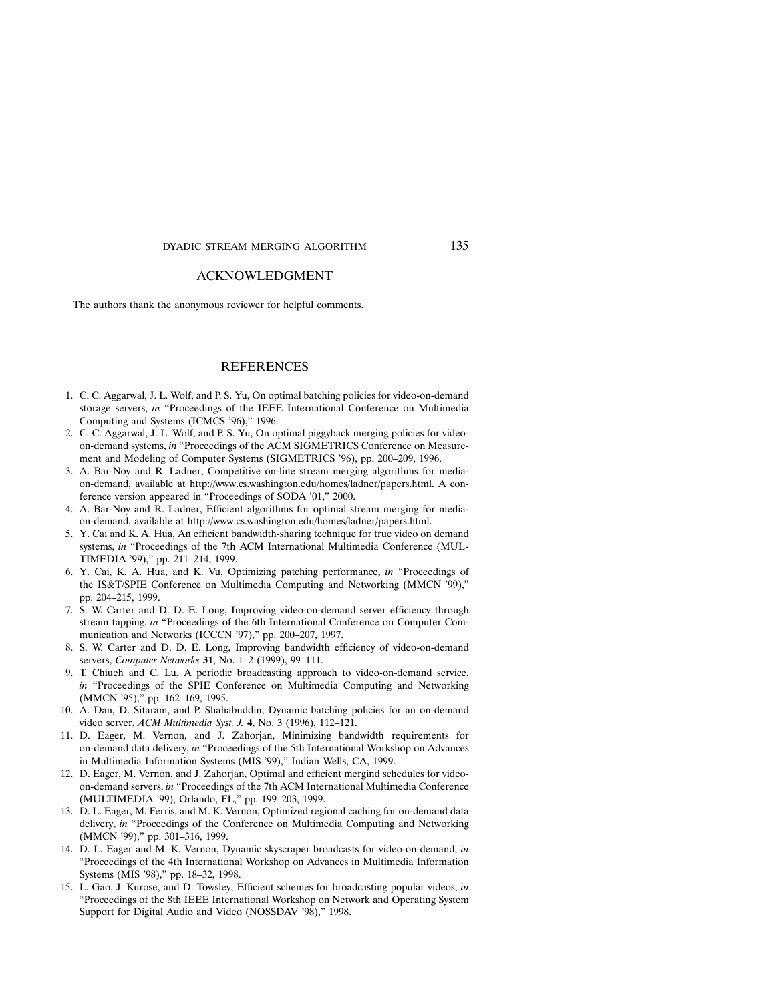#### ACKNOWLEDGMENT

The authors thank the anonymous reviewer for helpful comments.

#### REFERENCES

- 1. C. C. Aggarwal, J. L. Wolf, and P. S. Yu, On optimal batching policies for video-on-demand storage servers, in "Proceedings of the IEEE International Conference on Multimedia Computing and Systems (ICMCS '96)," 1996.
- 2. C. C. Aggarwal, J. L. Wolf, and P. S. Yu, On optimal piggyback merging policies for videoon-demand systems, in "Proceedings of the ACM SIGMETRICS Conference on Measurement and Modeling of Computer Systems (SIGMETRICS '96), pp. 200–209, 1996.
- 3. A. Bar-Noy and R. Ladner, Competitive on-line stream merging algorithms for mediaon-demand, available at http://www.cs.washington.edu/homes/ladner/papers.html. A conference version appeared in "Proceedings of SODA '01," 2000.
- 4. A. Bar-Noy and R. Ladner, Efficient algorithms for optimal stream merging for mediaon-demand, available at http://www.cs.washington.edu/homes/ladner/papers.html.
- 5. Y. Cai and K. A. Hua, An efficient bandwidth-sharing technique for true video on demand systems, in "Proceedings of the 7th ACM International Multimedia Conference (MUL-TIMEDIA '99)," pp. 211–214, 1999.
- 6. Y. Cai, K. A. Hua, and K. Vu, Optimizing patching performance, in "Proceedings of the IS&T/SPIE Conference on Multimedia Computing and Networking (MMCN '99)," pp. 204–215, 1999.
- 7. S. W. Carter and D. D. E. Long, Improving video-on-demand server efficiency through stream tapping, in "Proceedings of the 6th International Conference on Computer Communication and Networks (ICCCN '97)," pp. 200–207, 1997.
- 8. S. W. Carter and D. D. E. Long, Improving bandwidth efficiency of video-on-demand servers, Computer Networks 31, No. 1-2 (1999), 99-111.
- 9. T. Chiueh and C. Lu, A periodic broadcasting approach to video-on-demand service, in "Proceedings of the SPIE Conference on Multimedia Computing and Networking (MMCN '95)," pp. 162–169, 1995.
- 10. A. Dan, D. Sitaram, and P. Shahabuddin, Dynamic batching policies for an on-demand video server, ACM Multimedia Syst. J. 4, No. 3 (1996), 112–121.
- 11. D. Eager, M. Vernon, and J. Zahorjan, Minimizing bandwidth requirements for on-demand data delivery, in "Proceedings of the 5th International Workshop on Advances in Multimedia Information Systems (MIS '99)," Indian Wells, CA, 1999.
- 12. D. Eager, M. Vernon, and J. Zahorjan, Optimal and efficient mergind schedules for videoon-demand servers, in "Proceedings of the 7th ACM International Multimedia Conference (MULTIMEDIA '99), Orlando, FL," pp. 199–203, 1999.
- 13. D. L. Eager, M. Ferris, and M. K. Vernon, Optimized regional caching for on-demand data delivery, in "Proceedings of the Conference on Multimedia Computing and Networking (MMCN '99)," pp. 301–316, 1999.
- 14. D. L. Eager and M. K. Vernon, Dynamic skyscraper broadcasts for video-on-demand, in "Proceedings of the 4th International Workshop on Advances in Multimedia Information Systems (MIS '98)," pp. 18–32, 1998.
- 15. L. Gao, J. Kurose, and D. Towsley, Efficient schemes for broadcasting popular videos, in "Proceedings of the 8th IEEE International Workshop on Network and Operating System Support for Digital Audio and Video (NOSSDAV '98)," 1998.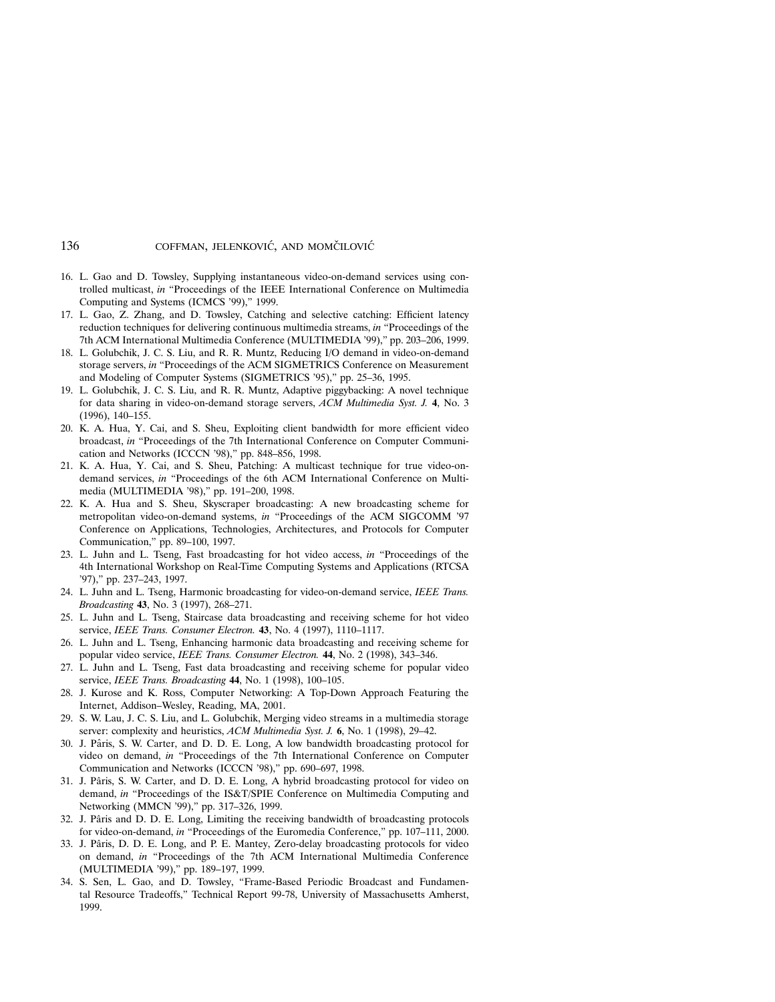- 16. L. Gao and D. Towsley, Supplying instantaneous video-on-demand services using controlled multicast, in "Proceedings of the IEEE International Conference on Multimedia Computing and Systems (ICMCS '99)," 1999.
- 17. L. Gao, Z. Zhang, and D. Towsley, Catching and selective catching: Efficient latency reduction techniques for delivering continuous multimedia streams, in "Proceedings of the 7th ACM International Multimedia Conference (MULTIMEDIA '99)," pp. 203–206, 1999.
- 18. L. Golubchik, J. C. S. Liu, and R. R. Muntz, Reducing I/O demand in video-on-demand storage servers, in "Proceedings of the ACM SIGMETRICS Conference on Measurement and Modeling of Computer Systems (SIGMETRICS '95)," pp. 25–36, 1995.
- 19. L. Golubchik, J. C. S. Liu, and R. R. Muntz, Adaptive piggybacking: A novel technique for data sharing in video-on-demand storage servers, ACM Multimedia Syst. J. 4, No. 3 (1996), 140–155.
- 20. K. A. Hua, Y. Cai, and S. Sheu, Exploiting client bandwidth for more efficient video broadcast, in "Proceedings of the 7th International Conference on Computer Communication and Networks (ICCCN '98)," pp. 848–856, 1998.
- 21. K. A. Hua, Y. Cai, and S. Sheu, Patching: A multicast technique for true video-ondemand services, in "Proceedings of the 6th ACM International Conference on Multimedia (MULTIMEDIA '98)," pp. 191–200, 1998.
- 22. K. A. Hua and S. Sheu, Skyscraper broadcasting: A new broadcasting scheme for metropolitan video-on-demand systems, in "Proceedings of the ACM SIGCOMM '97 Conference on Applications, Technologies, Architectures, and Protocols for Computer Communication," pp. 89–100, 1997.
- 23. L. Juhn and L. Tseng, Fast broadcasting for hot video access, in "Proceedings of the 4th International Workshop on Real-Time Computing Systems and Applications (RTCSA '97)," pp. 237–243, 1997.
- 24. L. Juhn and L. Tseng, Harmonic broadcasting for video-on-demand service, IEEE Trans. Broadcasting 43, No. 3 (1997), 268–271.
- 25. L. Juhn and L. Tseng, Staircase data broadcasting and receiving scheme for hot video service, IEEE Trans. Consumer Electron. 43, No. 4 (1997), 1110-1117.
- 26. L. Juhn and L. Tseng, Enhancing harmonic data broadcasting and receiving scheme for popular video service, IEEE Trans. Consumer Electron. 44, No. 2 (1998), 343–346.
- 27. L. Juhn and L. Tseng, Fast data broadcasting and receiving scheme for popular video service, IEEE Trans. Broadcasting 44, No. 1 (1998), 100-105.
- 28. J. Kurose and K. Ross, Computer Networking: A Top-Down Approach Featuring the Internet, Addison–Wesley, Reading, MA, 2001.
- 29. S. W. Lau, J. C. S. Liu, and L. Golubchik, Merging video streams in a multimedia storage server: complexity and heuristics, ACM Multimedia Syst. J. 6, No. 1 (1998), 29-42.
- 30. J. Pâris, S. W. Carter, and D. D. E. Long, A low bandwidth broadcasting protocol for video on demand, in "Proceedings of the 7th International Conference on Computer Communication and Networks (ICCCN '98)," pp. 690–697, 1998.
- 31. J. Pâris, S. W. Carter, and D. D. E. Long, A hybrid broadcasting protocol for video on demand, in "Proceedings of the IS&T/SPIE Conference on Multimedia Computing and Networking (MMCN '99)," pp. 317–326, 1999.
- 32. J. Pâris and D. D. E. Long, Limiting the receiving bandwidth of broadcasting protocols for video-on-demand, in "Proceedings of the Euromedia Conference," pp. 107–111, 2000.
- 33. J. Pâris, D. D. E. Long, and P. E. Mantey, Zero-delay broadcasting protocols for video on demand, in "Proceedings of the 7th ACM International Multimedia Conference (MULTIMEDIA '99)," pp. 189–197, 1999.
- 34. S. Sen, L. Gao, and D. Towsley, "Frame-Based Periodic Broadcast and Fundamental Resource Tradeoffs," Technical Report 99-78, University of Massachusetts Amherst, 1999.